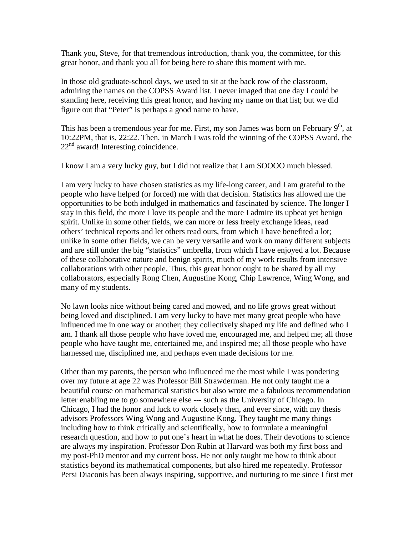Thank you, Steve, for that tremendous introduction, thank you, the committee, for this great honor, and thank you all for being here to share this moment with me.

In those old graduate-school days, we used to sit at the back row of the classroom, admiring the names on the COPSS Award list. I never imaged that one day I could be standing here, receiving this great honor, and having my name on that list; but we did figure out that "Peter" is perhaps a good name to have.

This has been a tremendous year for me. First, my son James was born on February  $9<sup>th</sup>$ , at 10:22PM, that is, 22:22. Then, in March I was told the winning of the COPSS Award, the  $22<sup>nd</sup>$  award! Interesting coincidence.

I know I am a very lucky guy, but I did not realize that I am SOOOO much blessed.

I am very lucky to have chosen statistics as my life-long career, and I am grateful to the people who have helped (or forced) me with that decision. Statistics has allowed me the opportunities to be both indulged in mathematics and fascinated by science. The longer I stay in this field, the more I love its people and the more I admire its upbeat yet benign spirit. Unlike in some other fields, we can more or less freely exchange ideas, read others' technical reports and let others read ours, from which I have benefited a lot; unlike in some other fields, we can be very versatile and work on many different subjects and are still under the big "statistics" umbrella, from which I have enjoyed a lot. Because of these collaborative nature and benign spirits, much of my work results from intensive collaborations with other people. Thus, this great honor ought to be shared by all my collaborators, especially Rong Chen, Augustine Kong, Chip Lawrence, Wing Wong, and many of my students.

No lawn looks nice without being cared and mowed, and no life grows great without being loved and disciplined. I am very lucky to have met many great people who have influenced me in one way or another; they collectively shaped my life and defined who I am. I thank all those people who have loved me, encouraged me, and helped me; all those people who have taught me, entertained me, and inspired me; all those people who have harnessed me, disciplined me, and perhaps even made decisions for me.

Other than my parents, the person who influenced me the most while I was pondering over my future at age 22 was Professor Bill Strawderman. He not only taught me a beautiful course on mathematical statistics but also wrote me a fabulous recommendation letter enabling me to go somewhere else --- such as the University of Chicago. In Chicago, I had the honor and luck to work closely then, and ever since, with my thesis advisors Professors Wing Wong and Augustine Kong. They taught me many things including how to think critically and scientifically, how to formulate a meaningful research question, and how to put one's heart in what he does. Their devotions to science are always my inspiration. Professor Don Rubin at Harvard was both my first boss and my post-PhD mentor and my current boss. He not only taught me how to think about statistics beyond its mathematical components, but also hired me repeatedly. Professor Persi Diaconis has been always inspiring, supportive, and nurturing to me since I first met